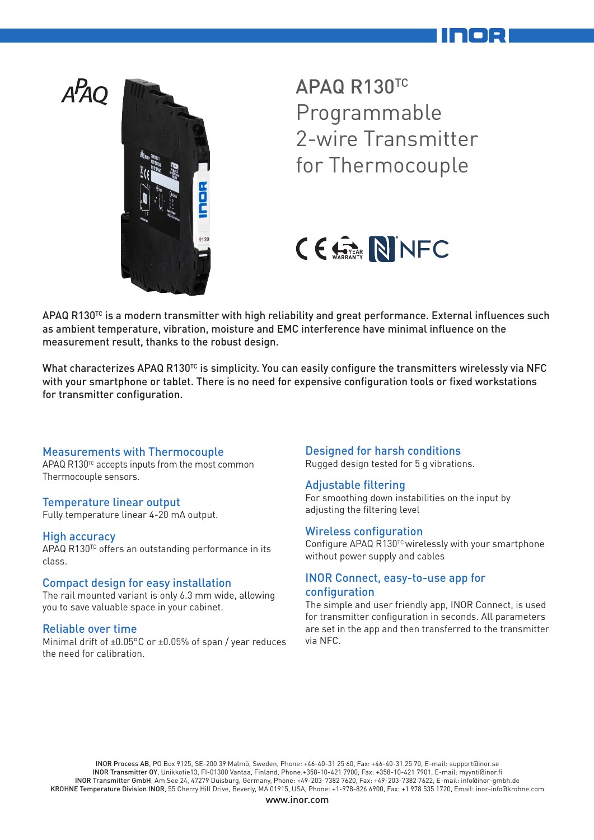



APAQ R130TC Programmable 2-wire Transmitter for Thermocouple



APAQ R130<sup>TC</sup> is a modern transmitter with high reliability and great performance. External influences such as ambient temperature, vibration, moisture and EMC interference have minimal influence on the measurement result, thanks to the robust design.

What characterizes APAQ R130<sup>TC</sup> is simplicity. You can easily configure the transmitters wirelessly via NFC with your smartphone or tablet. There is no need for expensive configuration tools or fixed workstations for transmitter configuration.

### Measurements with Thermocouple

 $APAQ R130<sup>TC</sup> accepts inputs from the most common$ Thermocouple sensors.

#### Temperature linear output

Fully temperature linear 4-20 mA output.

#### High accuracy

APAQ R130<sup>TC</sup> offers an outstanding performance in its class.

#### Compact design for easy installation

The rail mounted variant is only 6.3 mm wide, allowing you to save valuable space in your cabinet.

#### Reliable over time

Minimal drift of ±0.05°C or ±0.05% of span / year reduces the need for calibration.

#### Designed for harsh conditions

Rugged design tested for 5 g vibrations.

#### Adjustable filtering

For smoothing down instabilities on the input by adjusting the filtering level

#### Wireless configuration

Configure APAQ  $R130^{TC}$  wirelessly with your smartphone without power supply and cables

### INOR Connect, easy-to-use app for configuration

The simple and user friendly app, INOR Connect, is used for transmitter configuration in seconds. All parameters are set in the app and then transferred to the transmitter via NFC.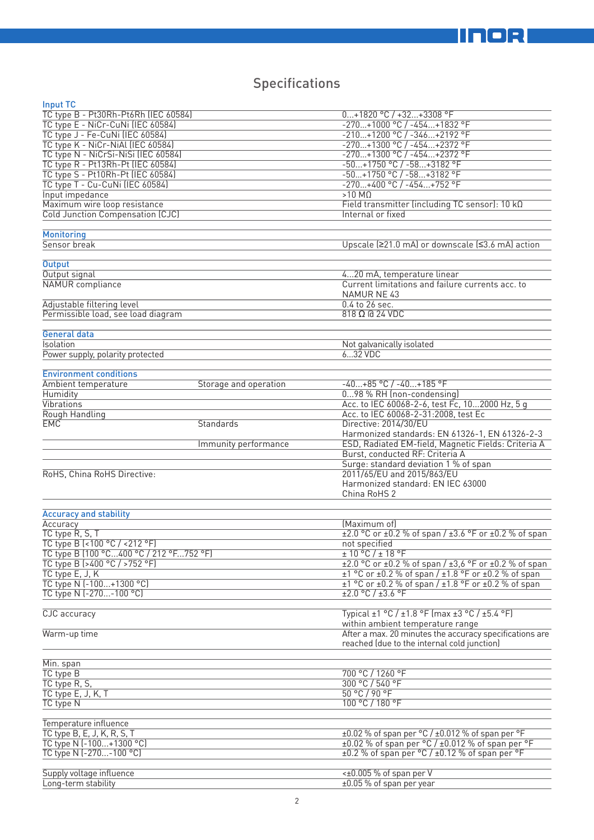# Specifications

| Input TC                                        |                       |                                                                           |
|-------------------------------------------------|-----------------------|---------------------------------------------------------------------------|
| TC type B - Pt30Rh-Pt6Rh (IEC 60584)            |                       | $0+1820$ °C / +32+3308 °F                                                 |
| TC type E - NiCr-CuNi (IEC 60584)               |                       | -270+1000 °C / -454+1832 °F                                               |
| TC type J - Fe-CuNi (IEC 60584)                 |                       | $-210+1200 °C / -346+2192 °F$                                             |
| TC type K - NiCr-NiAl (IEC 60584)               |                       | -270+1300 °C / -454+2372 °F                                               |
| TC type N - NiCrSi-NiSi (IEC 60584)             |                       | -270+1300 °C / -454+2372 °F                                               |
| TC type R - Pt13Rh-Pt (IEC 60584)               |                       | -50+1750 °C / -58+3182 °F                                                 |
| TC type S - Pt10Rh-Pt (IEC 60584)               |                       | -50+1750 °C / -58+3182 °F                                                 |
| TC type T - Cu-CuNi (IEC 60584)                 |                       | $-270+400$ °C / $-454+752$ °F                                             |
| Input impedance                                 |                       | $>10$ M $\Omega$                                                          |
|                                                 |                       |                                                                           |
| Maximum wire loop resistance                    |                       | Field transmitter (including TC sensor): 10 kΩ                            |
| Cold Junction Compensation (CJC)                |                       | Internal or fixed                                                         |
|                                                 |                       |                                                                           |
| <b>Monitoring</b>                               |                       |                                                                           |
| Sensor break                                    |                       | Upscale (≥21.0 mA) or downscale (≤3.6 mA) action                          |
|                                                 |                       |                                                                           |
| <b>Output</b>                                   |                       |                                                                           |
| Output signal                                   |                       | 420 mA, temperature linear                                                |
| <b>NAMUR</b> compliance                         |                       | Current limitations and failure currents acc. to                          |
|                                                 |                       | NAMUR NE 43                                                               |
| Adjustable filtering level                      |                       | 0.4 to 26 sec.                                                            |
| Permissible load, see load diagram              |                       | $818$ $\Omega$ $\overline{a}$ 24 VDC                                      |
|                                                 |                       |                                                                           |
| General data                                    |                       |                                                                           |
| Isolation                                       |                       | Not galvanically isolated                                                 |
|                                                 |                       | 632 VDC                                                                   |
| Power supply, polarity protected                |                       |                                                                           |
|                                                 |                       |                                                                           |
| <b>Environment conditions</b>                   |                       |                                                                           |
| Ambient temperature                             | Storage and operation | $-40+85$ °C / $-40+185$ °F                                                |
| Humidity                                        |                       | 098 % RH (non-condensing)                                                 |
| Vibrations                                      |                       | Acc. to IEC 60068-2-6, test Fc, 102000 Hz, 5 g                            |
| Rough Handling                                  |                       | Acc. to IEC 60068-2-31:2008, test Ec                                      |
| <b>EMC</b>                                      | Standards             | Directive: 2014/30/EU                                                     |
|                                                 |                       | Harmonized standards: EN 61326-1, EN 61326-2-3                            |
|                                                 | Immunity performance  | ESD, Radiated EM-field, Magnetic Fields: Criteria A                       |
|                                                 |                       | Burst, conducted RF: Criteria A                                           |
|                                                 |                       | Surge: standard deviation 1 % of span                                     |
| RoHS, China RoHS Directive:                     |                       | 2011/65/EU and 2015/863/EU                                                |
|                                                 |                       |                                                                           |
|                                                 |                       | Harmonized standard: EN IEC 63000                                         |
|                                                 |                       | China RoHS 2                                                              |
|                                                 |                       |                                                                           |
| <b>Accuracy and stability</b>                   |                       |                                                                           |
| Accuracy                                        |                       | (Maximum of)                                                              |
| TC type R, S, T                                 |                       | $\pm 2.0$ °C or $\pm 0.2$ % of span / $\pm 3.6$ °F or $\pm 0.2$ % of span |
| TC type B (<100 °C / <212 °F)                   |                       | not specified                                                             |
| TC type B (100 °C400 °C / 212 °F752 °F)         |                       | $\pm 10^{\circ}$ C / $\pm 18^{\circ}$ F                                   |
| TC type B (>400 °C / >752 °F)                   |                       | ±2.0 °C or ±0.2 % of span / ±3,6 °F or ±0.2 % of span                     |
| TC type E, J, K                                 |                       | $\pm 1$ °C or $\pm 0.2$ % of span / $\pm 1.8$ °F or $\pm 0.2$ % of span   |
| TC type N (-100+1300 °C)                        |                       | $\pm$ 1 °C or $\pm$ 0.2 % of span / $\pm$ 1.8 °F or $\pm$ 0.2 % of span   |
|                                                 |                       |                                                                           |
| TC type N (-270-100 °C)                         |                       | $\pm 2.0$ °C / $\pm 3.6$ °F                                               |
|                                                 |                       |                                                                           |
| <b>CJC</b> accuracy                             |                       | Typical ±1 °C / ±1.8 °F (max ±3 °C / ±5.4 °F)                             |
|                                                 |                       | within ambient temperature range                                          |
| Warm-up time                                    |                       | After a max. 20 minutes the accuracy specifications are                   |
|                                                 |                       | reached (due to the internal cold junction)                               |
|                                                 |                       |                                                                           |
| Min. span                                       |                       |                                                                           |
| TC type B                                       |                       | 700 °C / 1260 °F                                                          |
| TC type R, S,                                   |                       | 300 °C / 540 °F                                                           |
| TC type E, J, K, T                              |                       | 50 °C / 90 °F                                                             |
| TC type N                                       |                       | 100 °C / 180 °F                                                           |
|                                                 |                       |                                                                           |
| Temperature influence                           |                       |                                                                           |
| TC type B, E, J, K, R, S, T                     |                       | $\pm 0.02$ % of span per °C / $\pm 0.012$ % of span per °F                |
|                                                 |                       |                                                                           |
|                                                 |                       |                                                                           |
| TC type N (-100+1300 °C)                        |                       | $\pm 0.02$ % of span per °C / $\pm 0.012$ % of span per °F                |
| TC type N (-270-100 °C)                         |                       | ±0.2 % of span per °C / ±0.12 % of span per °F                            |
|                                                 |                       |                                                                           |
| Supply voltage influence<br>Long-term stability |                       | <±0.005 % of span per V<br>±0.05 % of span per year                       |